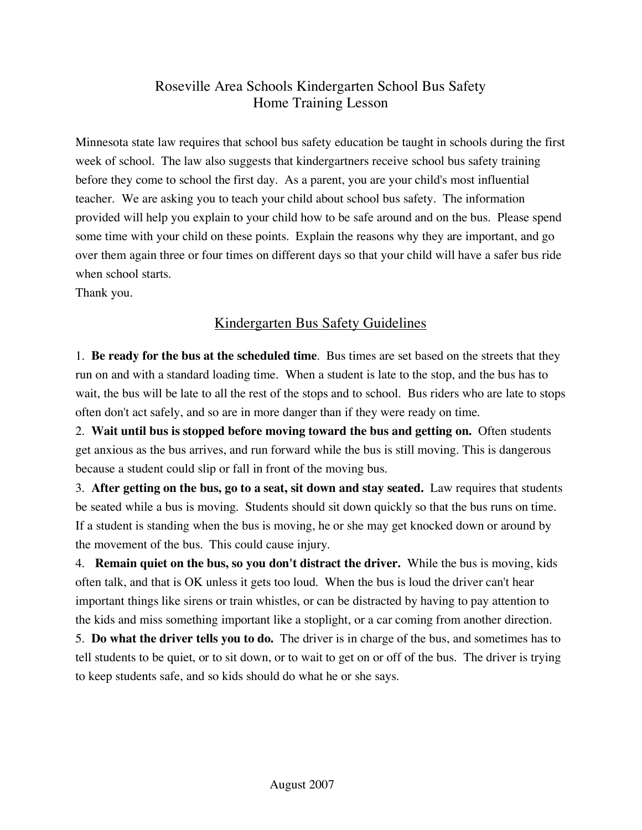## Roseville Area Schools Kindergarten School Bus Safety Home Training Lesson

Minnesota state law requires that school bus safety education be taught in schools during the first week of school. The law also suggests that kindergartners receive school bus safety training before they come to school the first day. As a parent, you are your child's most influential teacher. We are asking you to teach your child about school bus safety. The information provided will help you explain to your child how to be safe around and on the bus. Please spend some time with your child on these points. Explain the reasons why they are important, and go over them again three or four times on different days so that your child will have a safer bus ride when school starts.

Thank you.

## Kindergarten Bus Safety Guidelines

1. **Be ready for the bus at the scheduled time**. Bus times are set based on the streets that they run on and with a standard loading time. When a student is late to the stop, and the bus has to wait, the bus will be late to all the rest of the stops and to school. Bus riders who are late to stops often don't act safely, and so are in more danger than if they were ready on time.

2. **Wait until bus is stopped before moving toward the bus and getting on.** Often students get anxious as the bus arrives, and run forward while the bus is still moving. This is dangerous because a student could slip or fall in front of the moving bus.

3. **After getting on the bus, go to a seat, sit down and stay seated.** Law requires that students be seated while a bus is moving. Students should sit down quickly so that the bus runs on time. If a student is standing when the bus is moving, he or she may get knocked down or around by the movement of the bus. This could cause injury.

4. **Remain quiet on the bus, so you don't distract the driver.** While the bus is moving, kids often talk, and that is OK unless it gets too loud. When the bus is loud the driver can't hear important things like sirens or train whistles, or can be distracted by having to pay attention to the kids and miss something important like a stoplight, or a car coming from another direction.

5. **Do what the driver tells you to do.** The driver is in charge of the bus, and sometimes has to tell students to be quiet, or to sit down, or to wait to get on or off of the bus. The driver is trying to keep students safe, and so kids should do what he or she says.